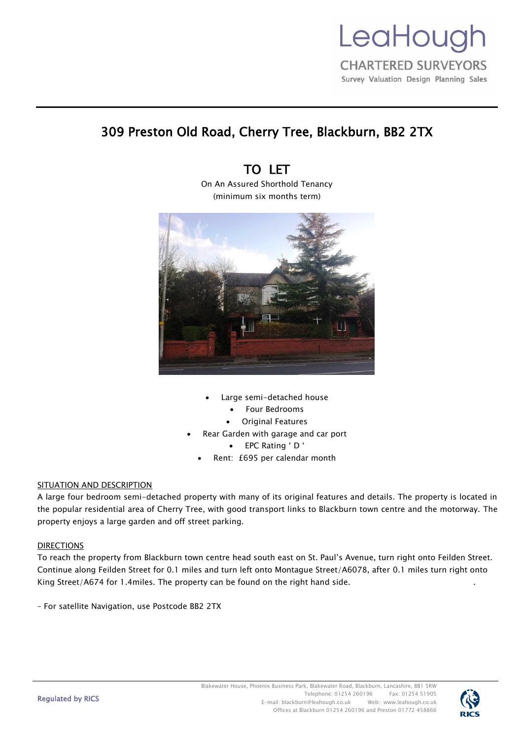

# 309 Preston Old Road, Cherry Tree, Blackburn, BB2 2TX

# TO LET

On An Assured Shorthold Tenancy (minimum six months term)



- Large semi-detached house
	- Four Bedrooms
	- **Original Features**
- Rear Garden with garage and car port
	- EPC Rating ' D '
	- Rent: £695 per calendar month

# SITUATION AND DESCRIPTION

A large four bedroom semi-detached property with many of its original features and details. The property is located in the popular residential area of Cherry Tree, with good transport links to Blackburn town centre and the motorway. The property enjoys a large garden and off street parking.

# DIRECTIONS

To reach the property from Blackburn town centre head south east on St. Paul's Avenue, turn right onto Feilden Street. Continue along Feilden Street for 0.1 miles and turn left onto Montague Street/A6078, after 0.1 miles turn right onto King Street/A674 for 1.4miles. The property can be found on the right hand side. .

– For satellite Navigation, use Postcode BB2 2TX

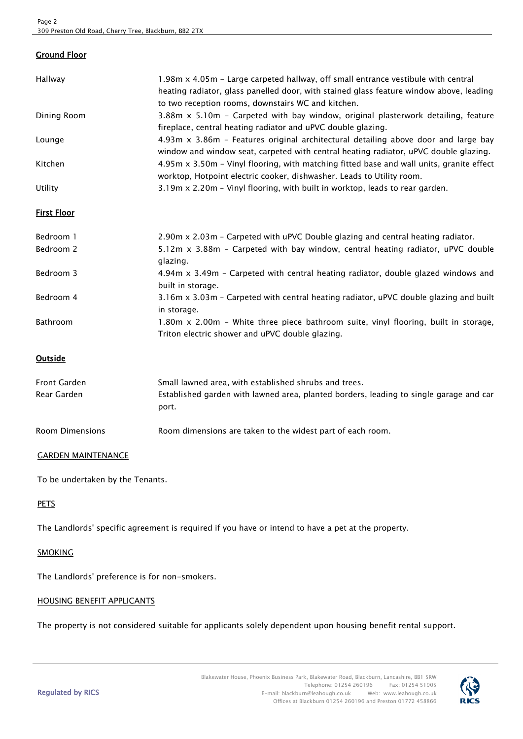# Ground Floor

| Hallway     | 1.98m x 4.05m - Large carpeted hallway, off small entrance vestibule with central<br>heating radiator, glass panelled door, with stained glass feature window above, leading<br>to two reception rooms, downstairs WC and kitchen. |
|-------------|------------------------------------------------------------------------------------------------------------------------------------------------------------------------------------------------------------------------------------|
| Dining Room | 3.88m x 5.10m - Carpeted with bay window, original plasterwork detailing, feature<br>fireplace, central heating radiator and uPVC double glazing.                                                                                  |
| Lounge      | 4.93 $m \times 3.86m$ – Features original architectural detailing above door and large bay<br>window and window seat, carpeted with central heating radiator, uPVC double glazing.                                                 |
| Kitchen     | 4.95m x 3.50m - Vinyl flooring, with matching fitted base and wall units, granite effect<br>worktop, Hotpoint electric cooker, dishwasher. Leads to Utility room.                                                                  |
| Utility     | 3.19m x 2.20m - Vinyl flooring, with built in worktop, leads to rear garden.                                                                                                                                                       |

#### First Floor

| Bedroom 1 | 2.90m x 2.03m - Carpeted with uPVC Double glazing and central heating radiator.                                                                |
|-----------|------------------------------------------------------------------------------------------------------------------------------------------------|
| Bedroom 2 | 5.12m x 3.88m - Carpeted with bay window, central heating radiator, uPVC double<br>glazing.                                                    |
| Bedroom 3 | 4.94m x 3.49m - Carpeted with central heating radiator, double glazed windows and<br>built in storage.                                         |
| Bedroom 4 | 3.16m x 3.03m - Carpeted with central heating radiator, uPVC double glazing and built<br>in storage.                                           |
| Bathroom  | 1.80 $m \times 2.00m$ – White three piece bathroom suite, vinyl flooring, built in storage,<br>Triton electric shower and uPVC double glazing. |

# **Outside**

| Front Garden    | Small lawned area, with established shrubs and trees.                                           |
|-----------------|-------------------------------------------------------------------------------------------------|
| Rear Garden     | Established garden with lawned area, planted borders, leading to single garage and car<br>port. |
| Room Dimensions | Room dimensions are taken to the widest part of each room.                                      |

# GARDEN MAINTENANCE

To be undertaken by the Tenants.

# **PETS**

The Landlords' specific agreement is required if you have or intend to have a pet at the property.

### **SMOKING**

The Landlords' preference is for non-smokers.

#### HOUSING BENEFIT APPLICANTS

The property is not considered suitable for applicants solely dependent upon housing benefit rental support.